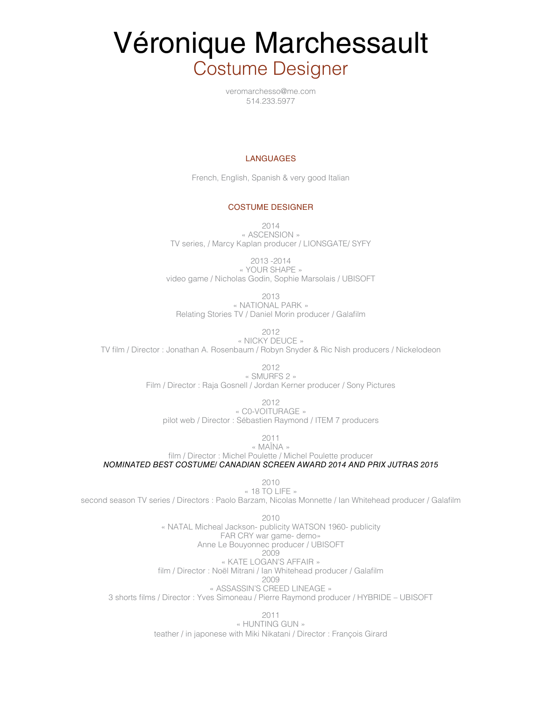# Véronique Marchessault Costume Designer

veromarchesso@me.com 514.233.5977

### LANGUAGES

French, English, Spanish & very good Italian

## COSTUME DESIGNER

2014 « ASCENSION » TV series, / Marcy Kaplan producer / LIONSGATE/ SYFY

2013 -2014 « YOUR SHAPE » video game / Nicholas Godin, Sophie Marsolais / UBISOFT

2013 « NATIONAL PARK » Relating Stories TV / Daniel Morin producer / Galafilm

2012

« NICKY DEUCE » TV film / Director : Jonathan A. Rosenbaum / Robyn Snyder & Ric Nish producers / Nickelodeon

> 2012 « SMURFS 2 »

Film / Director : Raja Gosnell / Jordan Kerner producer / Sony Pictures

2012

« C0-VOITURAGE » pilot web / Director : Sébastien Raymond / ITEM 7 producers

2011

« MAÏNA » film / Director : Michel Poulette / Michel Poulette producer *NOMINATED BEST COSTUME/ CANADIAN SCREEN AWARD 2014 AND PRIX JUTRAS 2015*

> 2010 « 18 TO LIFE »

second season TV series / Directors : Paolo Barzam, Nicolas Monnette / Ian Whitehead producer / Galafilm

2010 « NATAL Micheal Jackson- publicity WATSON 1960- publicity FAR CRY war game- demo» Anne Le Bouyonnec producer / UBISOFT 2009 « KATE LOGAN'S AFFAIR » film / Director : Noël Mitrani / Ian Whitehead producer / Galafilm 2009 « ASSASSIN'S CREED LINEAGE » 3 shorts films / Director : Yves Simoneau / Pierre Raymond producer / HYBRIDE – UBISOFT

> 2011 « HUNTING GUN » teather / in japonese with Miki Nikatani / Director : François Girard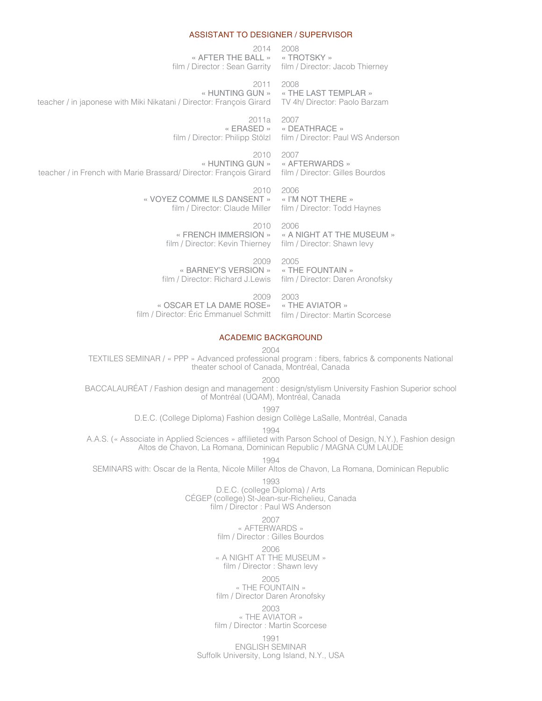#### ASSISTANT TO DESIGNER / SUPERVISOR

2014 2008 « AFTER THE BALL » « TROTSKY » film / Director : Sean Garrity film / Director: Jacob Thierney

2011 2008 « HUNTING GUN » teacher / in japonese with Miki Nikatani / Director: François Girard TV 4h/ Director: Paolo Barzam « THE LAST TEMPLAR »

> 2011a 2007 « ERASED » « DEATHRACE »

> > « I'M NOT THERE »

2006

2003

film / Director: Philipp Stölzl film / Director: Paul WS Anderson

2010 2007 « HUNTING GUN » teacher / in French with Marie Brassard/ Director: François Girard film / Director: Gilles Bourdos « AFTERWARDS »

> 2010 « VOYEZ COMME ILS DANSENT » film / Director: Claude Miller film / Director: Todd Haynes

2010 2006 « FRENCH IMMERSION » « A NIGHT AT THE MUSEUM » film / Director: Kevin Thierney film / Director: Shawn levy

2009 « BARNEY'S VERSION » film / Director: Richard J.Lewis film / Director: Daren Aronofsky 2005 « THE FOUNTAIN »

2009 « OSCAR ET LA DAME ROSE» « THE AVIATOR » film / Director: Éric Émmanuel Schmitt film / Director: Martin Scorcese

#### ACADEMIC BACKGROUND

2004

TEXTILES SEMINAR / « PPP » Advanced professional program : fibers, fabrics & components National theater school of Canada, Montréal, Canada

2000

BACCALAURÉAT / Fashion design and management : design/stylism University Fashion Superior school of Montréal (UQAM), Montréal, Canada

1997

D.E.C. (College Diploma) Fashion design Collège LaSalle, Montréal, Canada

1994

A.A.S. (« Associate in Applied Sciences » affilieted with Parson School of Design, N.Y.), Fashion design Altos de Chavon, La Romana, Dominican Republic / MAGNA CUM LAUDE

1994

SEMINARS with: Oscar de la Renta, Nicole Miller Altos de Chavon, La Romana, Dominican Republic

1993

D.E.C. (college Diploma) / Arts CÉGEP (college) St-Jean-sur-Richelieu, Canada film / Director : Paul WS Anderson

2007

« AFTERWARDS » film / Director : Gilles Bourdos

2006

« A NIGHT AT THE MUSEUM » film / Director : Shawn levy

2005

« THE FOUNTAIN » film / Director Daren Aronofsky

2003

« THE AVIATOR » film / Director : Martin Scorcese

1991 ENGLISH SEMINAR Suffolk University, Long Island, N.Y., USA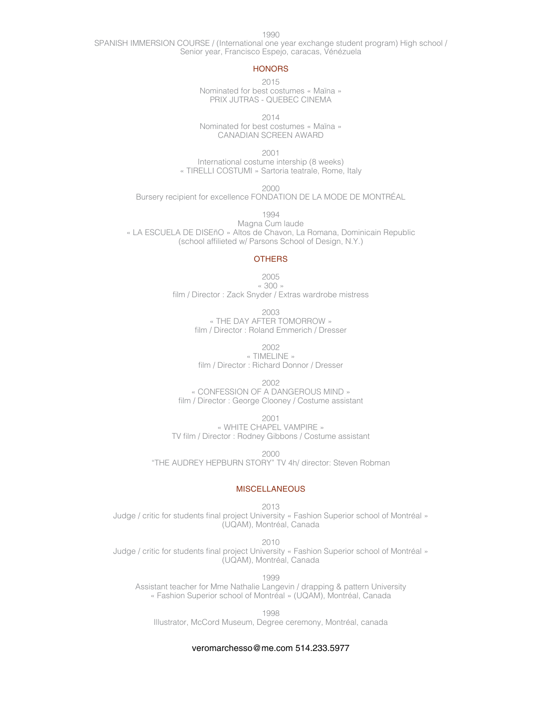1990

SPANISH IMMERSION COURSE / (International one year exchange student program) High school / Senior year, Francisco Espejo, caracas, Vénézuela

## **HONORS**

2015 Nominated for best costumes « Maïna » PRIX JUTRAS - QUEBEC CINEMA

2014

Nominated for best costumes « Maïna » CANADIAN SCREEN AWARD

2001

International costume intership (8 weeks) « TIRELLI COSTUMI » Sartoria teatrale, Rome, Italy

2000

Bursery recipient for excellence FONDATION DE LA MODE DE MONTRÉAL

1994

Magna Cum laude « LA ESCUELA DE DISEñO » Altos de Chavon, La Romana, Dominicain Republic (school affilieted w/ Parsons School of Design, N.Y.)

#### **OTHERS**

2005 « 300 » film / Director : Zack Snyder / Extras wardrobe mistress

> 2003 « THE DAY AFTER TOMORROW » film / Director : Roland Emmerich / Dresser

> > 2002

« TIMELINE » film / Director : Richard Donnor / Dresser

2002 « CONFESSION OF A DANGEROUS MIND » film / Director : George Clooney / Costume assistant

2001 « WHITE CHAPEL VAMPIRE » TV film / Director : Rodney Gibbons / Costume assistant

2000

"THE AUDREY HEPBURN STORY" TV 4h/ director: Steven Robman

## MISCELLANEOUS

2013 Judge / critic for students final project University « Fashion Superior school of Montréal » (UQAM), Montréal, Canada

2010

Judge / critic for students final project University « Fashion Superior school of Montréal » (UQAM), Montréal, Canada

1999

Assistant teacher for Mme Nathalie Langevin / drapping & pattern University « Fashion Superior school of Montréal » (UQAM), Montréal, Canada

1998 Illustrator, McCord Museum, Degree ceremony, Montréal, canada

# veromarchesso@me.com 514.233.5977